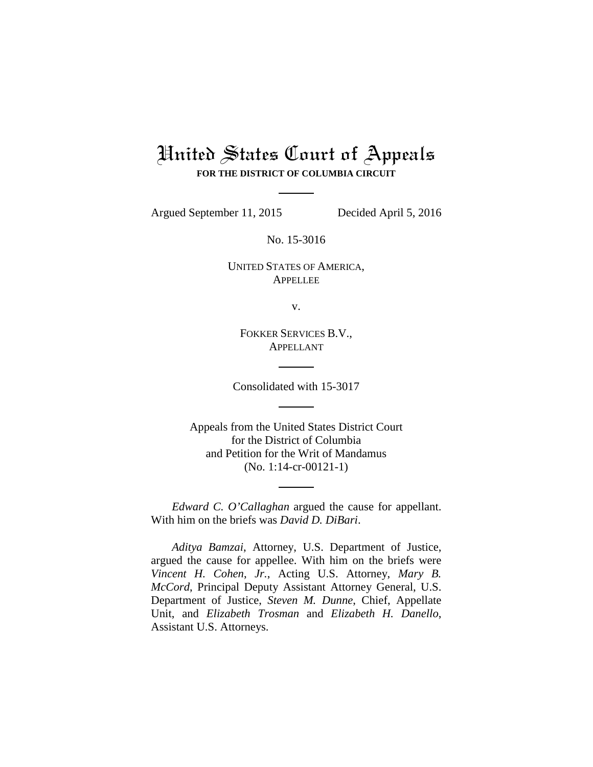# United States Court of Appeals **FOR THE DISTRICT OF COLUMBIA CIRCUIT**

Argued September 11, 2015 Decided April 5, 2016

No. 15-3016

UNITED STATES OF AMERICA, **APPELLEE** 

v.

FOKKER SERVICES B.V., APPELLANT

Consolidated with 15-3017

Appeals from the United States District Court for the District of Columbia and Petition for the Writ of Mandamus (No. 1:14-cr-00121-1)

*Edward C. O'Callaghan* argued the cause for appellant. With him on the briefs was *David D. DiBari*.

*Aditya Bamzai*, Attorney, U.S. Department of Justice, argued the cause for appellee. With him on the briefs were *Vincent H. Cohen*, *Jr.*, Acting U.S. Attorney, *Mary B. McCord*, Principal Deputy Assistant Attorney General, U.S. Department of Justice, *Steven M. Dunne*, Chief, Appellate Unit, and *Elizabeth Trosman* and *Elizabeth H. Danello*, Assistant U.S. Attorneys.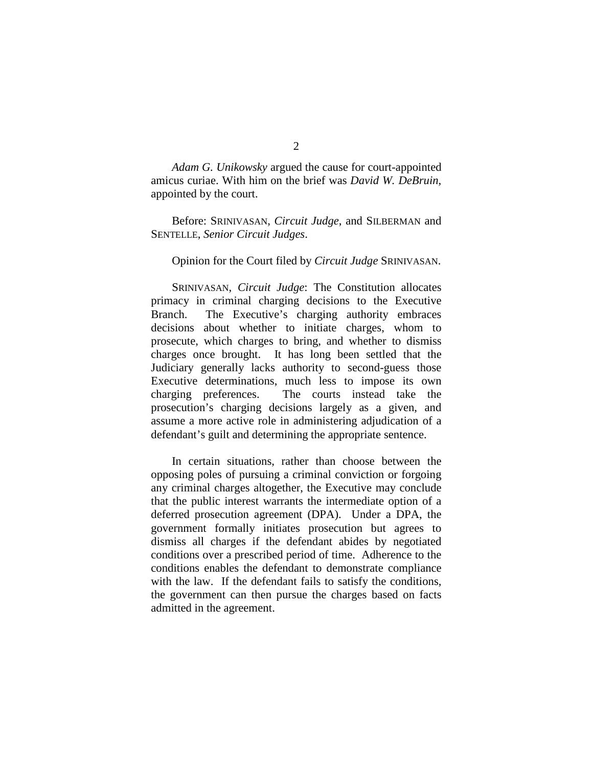*Adam G. Unikowsky* argued the cause for court-appointed amicus curiae. With him on the brief was *David W. DeBruin*, appointed by the court.

Before: SRINIVASAN, *Circuit Judge*, and SILBERMAN and SENTELLE, *Senior Circuit Judges*.

# Opinion for the Court filed by *Circuit Judge* SRINIVASAN.

SRINIVASAN, *Circuit Judge*: The Constitution allocates primacy in criminal charging decisions to the Executive Branch. The Executive's charging authority embraces decisions about whether to initiate charges, whom to prosecute, which charges to bring, and whether to dismiss charges once brought. It has long been settled that the Judiciary generally lacks authority to second-guess those Executive determinations, much less to impose its own charging preferences. The courts instead take the prosecution's charging decisions largely as a given, and assume a more active role in administering adjudication of a defendant's guilt and determining the appropriate sentence.

In certain situations, rather than choose between the opposing poles of pursuing a criminal conviction or forgoing any criminal charges altogether, the Executive may conclude that the public interest warrants the intermediate option of a deferred prosecution agreement (DPA). Under a DPA, the government formally initiates prosecution but agrees to dismiss all charges if the defendant abides by negotiated conditions over a prescribed period of time. Adherence to the conditions enables the defendant to demonstrate compliance with the law. If the defendant fails to satisfy the conditions, the government can then pursue the charges based on facts admitted in the agreement.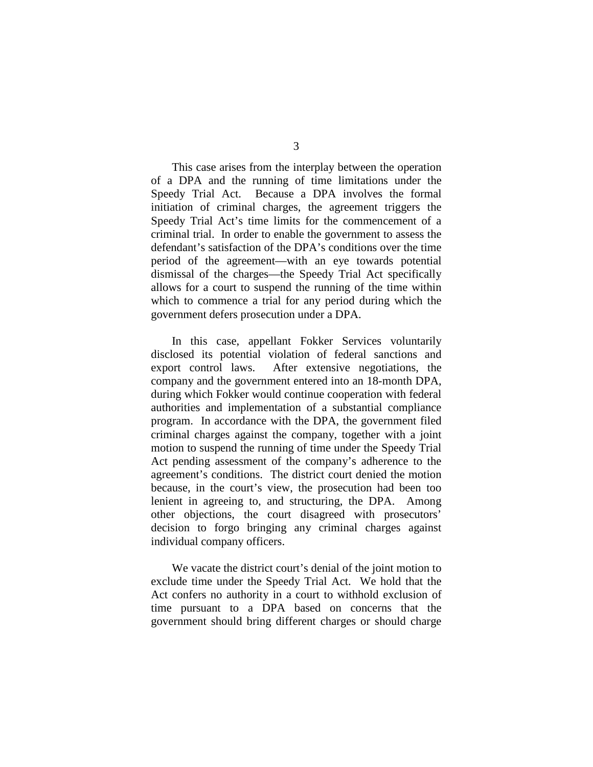This case arises from the interplay between the operation of a DPA and the running of time limitations under the Speedy Trial Act. Because a DPA involves the formal initiation of criminal charges, the agreement triggers the Speedy Trial Act's time limits for the commencement of a criminal trial. In order to enable the government to assess the defendant's satisfaction of the DPA's conditions over the time period of the agreement—with an eye towards potential dismissal of the charges—the Speedy Trial Act specifically allows for a court to suspend the running of the time within which to commence a trial for any period during which the government defers prosecution under a DPA.

In this case, appellant Fokker Services voluntarily disclosed its potential violation of federal sanctions and export control laws. After extensive negotiations, the company and the government entered into an 18-month DPA, during which Fokker would continue cooperation with federal authorities and implementation of a substantial compliance program. In accordance with the DPA, the government filed criminal charges against the company, together with a joint motion to suspend the running of time under the Speedy Trial Act pending assessment of the company's adherence to the agreement's conditions. The district court denied the motion because, in the court's view, the prosecution had been too lenient in agreeing to, and structuring, the DPA. Among other objections, the court disagreed with prosecutors' decision to forgo bringing any criminal charges against individual company officers.

We vacate the district court's denial of the joint motion to exclude time under the Speedy Trial Act. We hold that the Act confers no authority in a court to withhold exclusion of time pursuant to a DPA based on concerns that the government should bring different charges or should charge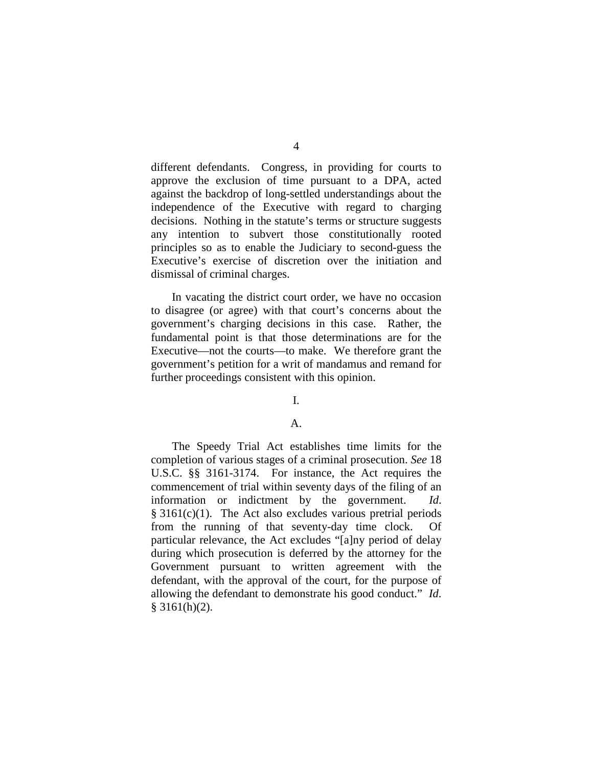different defendants. Congress, in providing for courts to approve the exclusion of time pursuant to a DPA, acted against the backdrop of long-settled understandings about the independence of the Executive with regard to charging decisions. Nothing in the statute's terms or structure suggests any intention to subvert those constitutionally rooted principles so as to enable the Judiciary to second-guess the Executive's exercise of discretion over the initiation and dismissal of criminal charges.

In vacating the district court order, we have no occasion to disagree (or agree) with that court's concerns about the government's charging decisions in this case. Rather, the fundamental point is that those determinations are for the Executive—not the courts—to make. We therefore grant the government's petition for a writ of mandamus and remand for further proceedings consistent with this opinion.

# I.

# A.

The Speedy Trial Act establishes time limits for the completion of various stages of a criminal prosecution. *See* 18 U.S.C. §§ 3161-3174. For instance, the Act requires the commencement of trial within seventy days of the filing of an information or indictment by the government. *Id*. § 3161(c)(1). The Act also excludes various pretrial periods from the running of that seventy-day time clock. Of particular relevance, the Act excludes "[a]ny period of delay during which prosecution is deferred by the attorney for the Government pursuant to written agreement with the defendant, with the approval of the court, for the purpose of allowing the defendant to demonstrate his good conduct." *Id*.  $§$  3161(h)(2).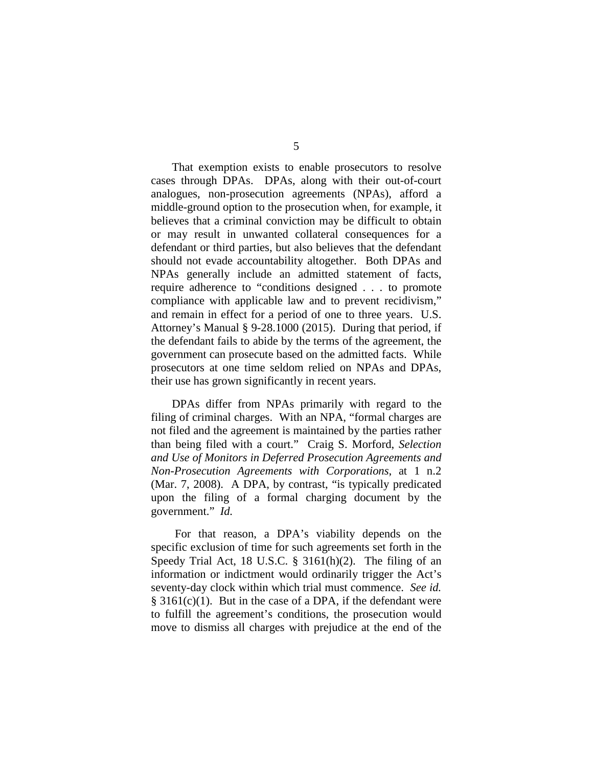That exemption exists to enable prosecutors to resolve cases through DPAs. DPAs, along with their out-of-court analogues, non-prosecution agreements (NPAs), afford a middle-ground option to the prosecution when, for example, it believes that a criminal conviction may be difficult to obtain or may result in unwanted collateral consequences for a defendant or third parties, but also believes that the defendant should not evade accountability altogether. Both DPAs and NPAs generally include an admitted statement of facts, require adherence to "conditions designed . . . to promote compliance with applicable law and to prevent recidivism," and remain in effect for a period of one to three years. U.S. Attorney's Manual § 9-28.1000 (2015). During that period, if the defendant fails to abide by the terms of the agreement, the government can prosecute based on the admitted facts. While prosecutors at one time seldom relied on NPAs and DPAs, their use has grown significantly in recent years.

DPAs differ from NPAs primarily with regard to the filing of criminal charges. With an NPA, "formal charges are not filed and the agreement is maintained by the parties rather than being filed with a court." Craig S. Morford, *Selection and Use of Monitors in Deferred Prosecution Agreements and Non-Prosecution Agreements with Corporations*, at 1 n.2 (Mar. 7, 2008). A DPA, by contrast, "is typically predicated upon the filing of a formal charging document by the government." *Id.* 

For that reason, a DPA's viability depends on the specific exclusion of time for such agreements set forth in the Speedy Trial Act, 18 U.S.C. § 3161(h)(2). The filing of an information or indictment would ordinarily trigger the Act's seventy-day clock within which trial must commence. *See id.*   $§ 3161(c)(1)$ . But in the case of a DPA, if the defendant were to fulfill the agreement's conditions, the prosecution would move to dismiss all charges with prejudice at the end of the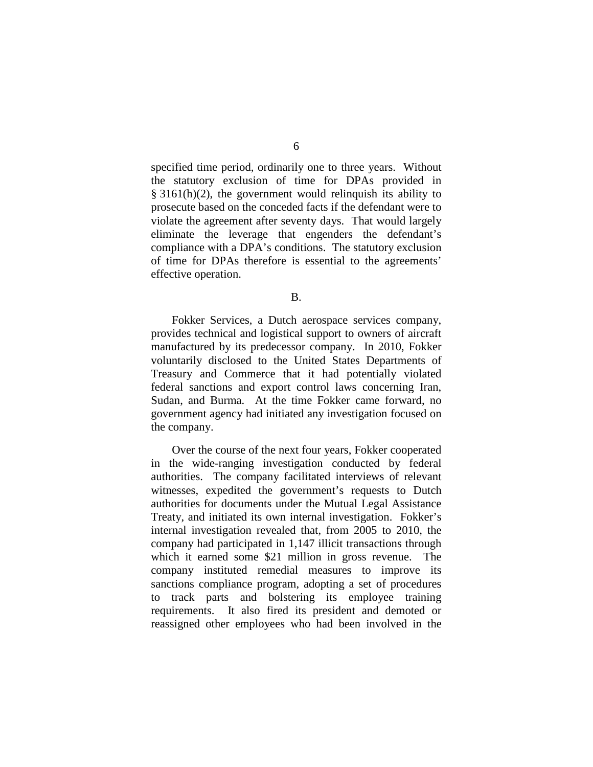specified time period, ordinarily one to three years. Without the statutory exclusion of time for DPAs provided in § 3161(h)(2), the government would relinquish its ability to prosecute based on the conceded facts if the defendant were to violate the agreement after seventy days. That would largely eliminate the leverage that engenders the defendant's compliance with a DPA's conditions. The statutory exclusion of time for DPAs therefore is essential to the agreements' effective operation.

Fokker Services, a Dutch aerospace services company, provides technical and logistical support to owners of aircraft manufactured by its predecessor company. In 2010, Fokker voluntarily disclosed to the United States Departments of Treasury and Commerce that it had potentially violated federal sanctions and export control laws concerning Iran, Sudan, and Burma. At the time Fokker came forward, no government agency had initiated any investigation focused on the company.

Over the course of the next four years, Fokker cooperated in the wide-ranging investigation conducted by federal authorities. The company facilitated interviews of relevant witnesses, expedited the government's requests to Dutch authorities for documents under the Mutual Legal Assistance Treaty, and initiated its own internal investigation. Fokker's internal investigation revealed that, from 2005 to 2010, the company had participated in 1,147 illicit transactions through which it earned some \$21 million in gross revenue. The company instituted remedial measures to improve its sanctions compliance program, adopting a set of procedures to track parts and bolstering its employee training requirements. It also fired its president and demoted or reassigned other employees who had been involved in the

B.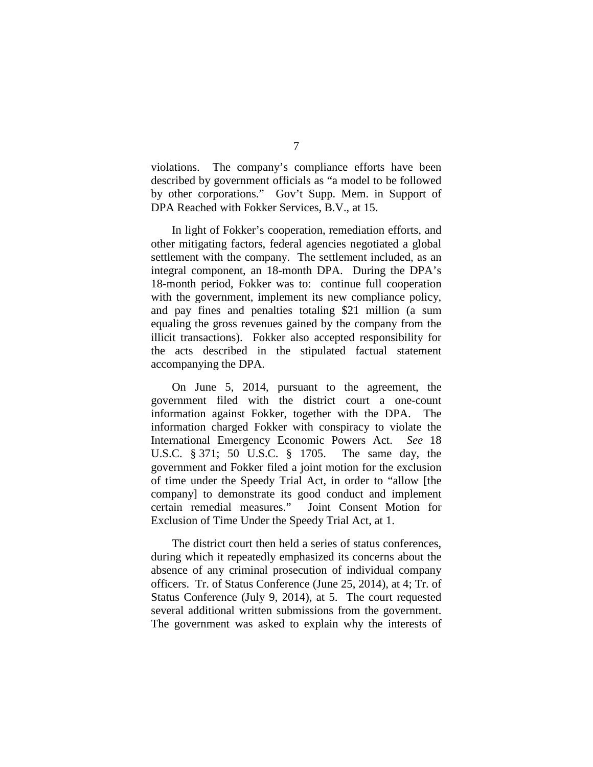violations. The company's compliance efforts have been described by government officials as "a model to be followed by other corporations." Gov't Supp. Mem. in Support of DPA Reached with Fokker Services, B.V., at 15.

In light of Fokker's cooperation, remediation efforts, and other mitigating factors, federal agencies negotiated a global settlement with the company. The settlement included, as an integral component, an 18-month DPA. During the DPA's 18-month period, Fokker was to: continue full cooperation with the government, implement its new compliance policy, and pay fines and penalties totaling \$21 million (a sum equaling the gross revenues gained by the company from the illicit transactions). Fokker also accepted responsibility for the acts described in the stipulated factual statement accompanying the DPA.

On June 5, 2014, pursuant to the agreement, the government filed with the district court a one-count information against Fokker, together with the DPA. The information charged Fokker with conspiracy to violate the International Emergency Economic Powers Act. *See* 18 U.S.C. § 371; 50 U.S.C. § 1705. The same day, the government and Fokker filed a joint motion for the exclusion of time under the Speedy Trial Act, in order to "allow [the company] to demonstrate its good conduct and implement certain remedial measures." Joint Consent Motion for Exclusion of Time Under the Speedy Trial Act, at 1.

The district court then held a series of status conferences, during which it repeatedly emphasized its concerns about the absence of any criminal prosecution of individual company officers. Tr. of Status Conference (June 25, 2014), at 4; Tr. of Status Conference (July 9, 2014), at 5. The court requested several additional written submissions from the government. The government was asked to explain why the interests of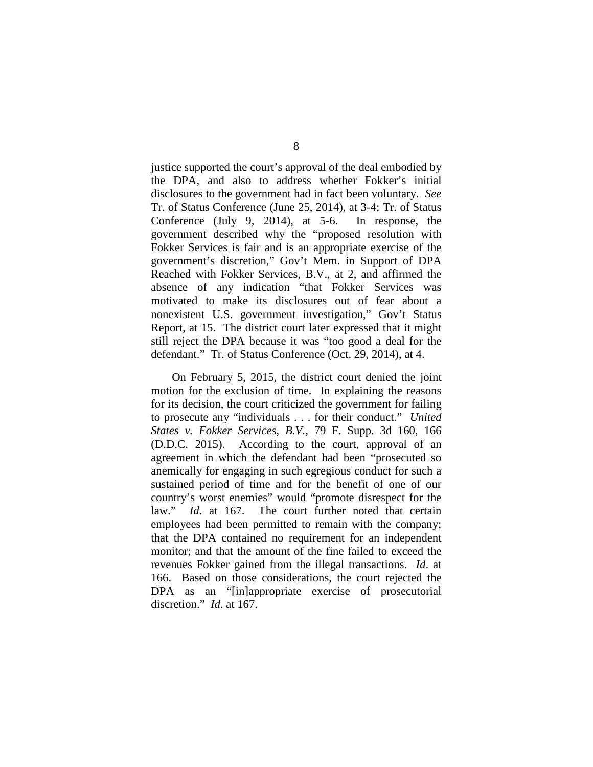justice supported the court's approval of the deal embodied by the DPA, and also to address whether Fokker's initial disclosures to the government had in fact been voluntary. *See*  Tr. of Status Conference (June 25, 2014), at 3-4; Tr. of Status Conference (July 9, 2014), at 5-6. In response, the government described why the "proposed resolution with Fokker Services is fair and is an appropriate exercise of the government's discretion," Gov't Mem. in Support of DPA Reached with Fokker Services, B.V., at 2, and affirmed the absence of any indication "that Fokker Services was motivated to make its disclosures out of fear about a nonexistent U.S. government investigation," Gov't Status Report, at 15. The district court later expressed that it might still reject the DPA because it was "too good a deal for the defendant." Tr. of Status Conference (Oct. 29, 2014), at 4.

On February 5, 2015, the district court denied the joint motion for the exclusion of time. In explaining the reasons for its decision, the court criticized the government for failing to prosecute any "individuals . . . for their conduct." *United States v. Fokker Services, B.V.*, 79 F. Supp. 3d 160, 166 (D.D.C. 2015). According to the court, approval of an agreement in which the defendant had been "prosecuted so anemically for engaging in such egregious conduct for such a sustained period of time and for the benefit of one of our country's worst enemies" would "promote disrespect for the law." *Id*. at 167. The court further noted that certain employees had been permitted to remain with the company; that the DPA contained no requirement for an independent monitor; and that the amount of the fine failed to exceed the revenues Fokker gained from the illegal transactions. *Id*. at 166. Based on those considerations, the court rejected the DPA as an "[in]appropriate exercise of prosecutorial discretion." *Id*. at 167.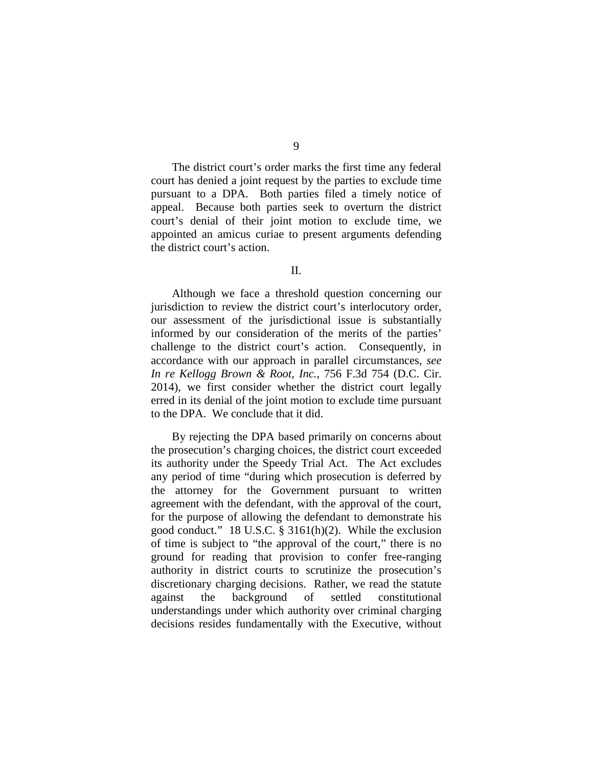The district court's order marks the first time any federal court has denied a joint request by the parties to exclude time pursuant to a DPA. Both parties filed a timely notice of appeal. Because both parties seek to overturn the district court's denial of their joint motion to exclude time, we appointed an amicus curiae to present arguments defending the district court's action.

Although we face a threshold question concerning our jurisdiction to review the district court's interlocutory order, our assessment of the jurisdictional issue is substantially informed by our consideration of the merits of the parties' challenge to the district court's action. Consequently, in accordance with our approach in parallel circumstances, *see In re Kellogg Brown & Root, Inc.*, 756 F.3d 754 (D.C. Cir. 2014), we first consider whether the district court legally erred in its denial of the joint motion to exclude time pursuant to the DPA. We conclude that it did.

By rejecting the DPA based primarily on concerns about the prosecution's charging choices, the district court exceeded its authority under the Speedy Trial Act. The Act excludes any period of time "during which prosecution is deferred by the attorney for the Government pursuant to written agreement with the defendant, with the approval of the court, for the purpose of allowing the defendant to demonstrate his good conduct." 18 U.S.C. § 3161(h)(2). While the exclusion of time is subject to "the approval of the court," there is no ground for reading that provision to confer free-ranging authority in district courts to scrutinize the prosecution's discretionary charging decisions. Rather, we read the statute against the background of settled constitutional understandings under which authority over criminal charging decisions resides fundamentally with the Executive, without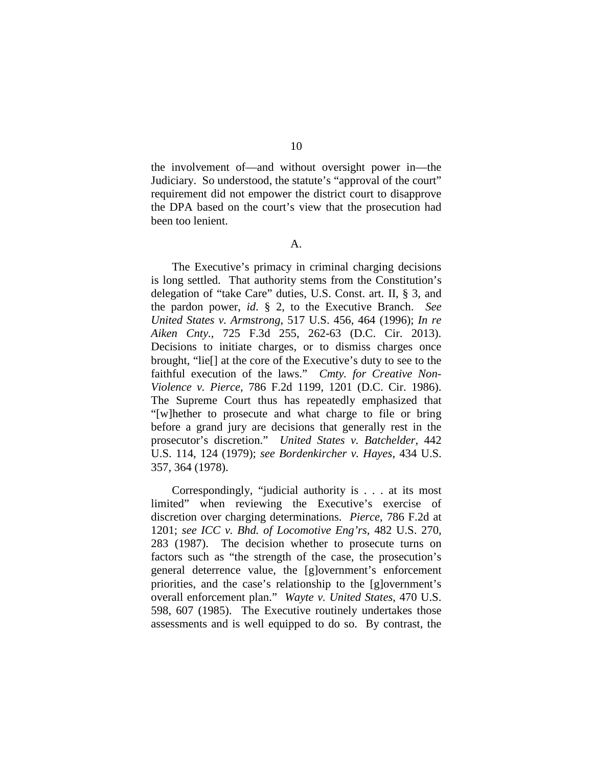10

the involvement of—and without oversight power in—the Judiciary. So understood, the statute's "approval of the court" requirement did not empower the district court to disapprove the DPA based on the court's view that the prosecution had been too lenient.

A.

The Executive's primacy in criminal charging decisions is long settled. That authority stems from the Constitution's delegation of "take Care" duties, U.S. Const. art. II, § 3, and the pardon power, *id*. § 2, to the Executive Branch. *See United States v. Armstrong*, 517 U.S. 456, 464 (1996); *In re Aiken Cnty.*, 725 F.3d 255, 262-63 (D.C. Cir. 2013). Decisions to initiate charges, or to dismiss charges once brought, "lie[] at the core of the Executive's duty to see to the faithful execution of the laws." *Cmty. for Creative Non-Violence v. Pierce*, 786 F.2d 1199, 1201 (D.C. Cir. 1986). The Supreme Court thus has repeatedly emphasized that "[w]hether to prosecute and what charge to file or bring before a grand jury are decisions that generally rest in the prosecutor's discretion." *United States v. Batchelder*, 442 U.S. 114, 124 (1979); *see Bordenkircher v. Hayes*, 434 U.S. 357, 364 (1978).

Correspondingly, "judicial authority is . . . at its most limited" when reviewing the Executive's exercise of discretion over charging determinations. *Pierce*, 786 F.2d at 1201; *see ICC v. Bhd. of Locomotive Eng'rs*, 482 U.S. 270, 283 (1987). The decision whether to prosecute turns on factors such as "the strength of the case, the prosecution's general deterrence value, the [g]overnment's enforcement priorities, and the case's relationship to the [g]overnment's overall enforcement plan." *Wayte v. United States*, 470 U.S. 598, 607 (1985). The Executive routinely undertakes those assessments and is well equipped to do so. By contrast, the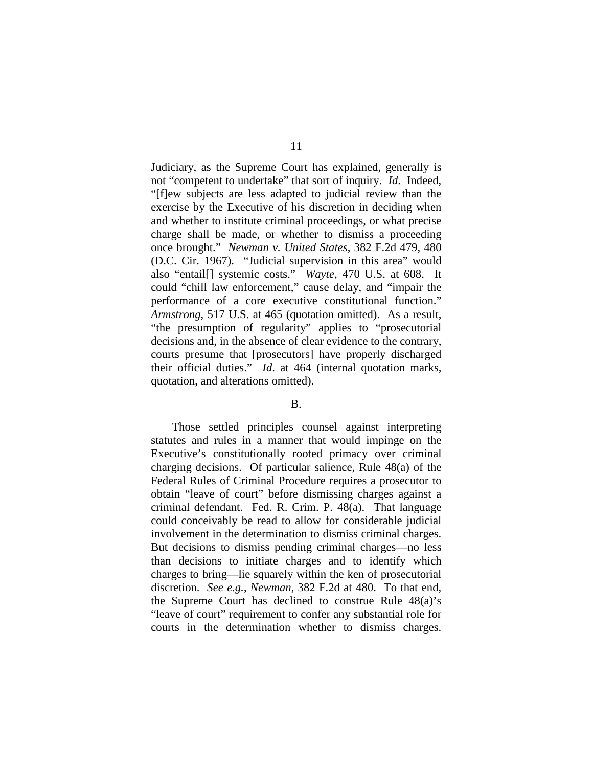Judiciary, as the Supreme Court has explained, generally is not "competent to undertake" that sort of inquiry. *Id*. Indeed, "[f]ew subjects are less adapted to judicial review than the exercise by the Executive of his discretion in deciding when and whether to institute criminal proceedings, or what precise charge shall be made, or whether to dismiss a proceeding once brought." *Newman v. United States*, 382 F.2d 479, 480 (D.C. Cir. 1967). "Judicial supervision in this area" would also "entail[] systemic costs." *Wayte*, 470 U.S. at 608. It could "chill law enforcement," cause delay, and "impair the performance of a core executive constitutional function." *Armstrong*, 517 U.S. at 465 (quotation omitted). As a result, "the presumption of regularity" applies to "prosecutorial decisions and, in the absence of clear evidence to the contrary, courts presume that [prosecutors] have properly discharged their official duties." *Id*. at 464 (internal quotation marks, quotation, and alterations omitted).

### B.

Those settled principles counsel against interpreting statutes and rules in a manner that would impinge on the Executive's constitutionally rooted primacy over criminal charging decisions. Of particular salience, Rule 48(a) of the Federal Rules of Criminal Procedure requires a prosecutor to obtain "leave of court" before dismissing charges against a criminal defendant. Fed. R. Crim. P. 48(a). That language could conceivably be read to allow for considerable judicial involvement in the determination to dismiss criminal charges. But decisions to dismiss pending criminal charges—no less than decisions to initiate charges and to identify which charges to bring—lie squarely within the ken of prosecutorial discretion. *See e.g.*, *Newman*, 382 F.2d at 480. To that end, the Supreme Court has declined to construe Rule 48(a)'s "leave of court" requirement to confer any substantial role for courts in the determination whether to dismiss charges.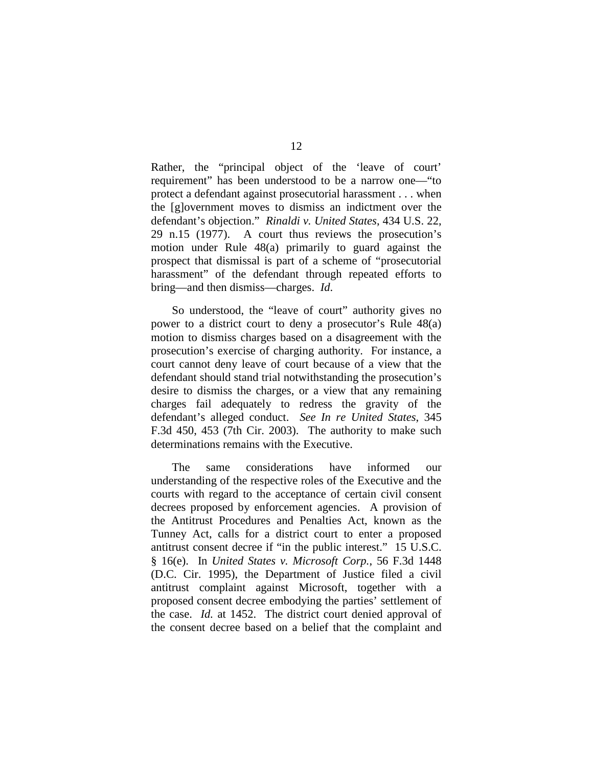Rather, the "principal object of the 'leave of court' requirement" has been understood to be a narrow one—"to protect a defendant against prosecutorial harassment . . . when the [g]overnment moves to dismiss an indictment over the defendant's objection." *Rinaldi v. United States*, 434 U.S. 22, 29 n.15 (1977). A court thus reviews the prosecution's motion under Rule 48(a) primarily to guard against the prospect that dismissal is part of a scheme of "prosecutorial harassment" of the defendant through repeated efforts to bring—and then dismiss—charges. *Id*.

So understood, the "leave of court" authority gives no power to a district court to deny a prosecutor's Rule 48(a) motion to dismiss charges based on a disagreement with the prosecution's exercise of charging authority. For instance, a court cannot deny leave of court because of a view that the defendant should stand trial notwithstanding the prosecution's desire to dismiss the charges, or a view that any remaining charges fail adequately to redress the gravity of the defendant's alleged conduct. *See In re United States*, 345 F.3d 450, 453 (7th Cir. 2003). The authority to make such determinations remains with the Executive.

The same considerations have informed our understanding of the respective roles of the Executive and the courts with regard to the acceptance of certain civil consent decrees proposed by enforcement agencies. A provision of the Antitrust Procedures and Penalties Act, known as the Tunney Act, calls for a district court to enter a proposed antitrust consent decree if "in the public interest." 15 U.S.C. § 16(e). In *United States v. Microsoft Corp.*, 56 F.3d 1448 (D.C. Cir. 1995), the Department of Justice filed a civil antitrust complaint against Microsoft, together with a proposed consent decree embodying the parties' settlement of the case. *Id.* at 1452. The district court denied approval of the consent decree based on a belief that the complaint and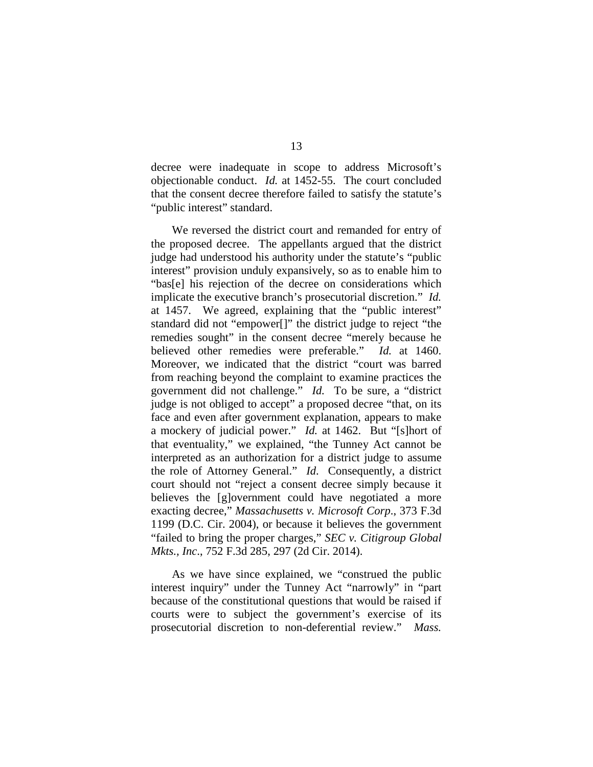decree were inadequate in scope to address Microsoft's objectionable conduct. *Id.* at 1452-55. The court concluded that the consent decree therefore failed to satisfy the statute's "public interest" standard.

We reversed the district court and remanded for entry of the proposed decree. The appellants argued that the district judge had understood his authority under the statute's "public interest" provision unduly expansively, so as to enable him to "bas[e] his rejection of the decree on considerations which implicate the executive branch's prosecutorial discretion." *Id.*  at 1457. We agreed, explaining that the "public interest" standard did not "empower[]" the district judge to reject "the remedies sought" in the consent decree "merely because he believed other remedies were preferable." *Id.* at 1460. Moreover, we indicated that the district "court was barred from reaching beyond the complaint to examine practices the government did not challenge." *Id.* To be sure, a "district judge is not obliged to accept" a proposed decree "that, on its face and even after government explanation, appears to make a mockery of judicial power." *Id.* at 1462. But "[s]hort of that eventuality," we explained, "the Tunney Act cannot be interpreted as an authorization for a district judge to assume the role of Attorney General." *Id*. Consequently, a district court should not "reject a consent decree simply because it believes the [g]overnment could have negotiated a more exacting decree," *Massachusetts v. Microsoft Corp*., 373 F.3d 1199 (D.C. Cir. 2004), or because it believes the government "failed to bring the proper charges," *SEC v. Citigroup Global Mkts., Inc*., 752 F.3d 285, 297 (2d Cir. 2014).

As we have since explained, we "construed the public interest inquiry" under the Tunney Act "narrowly" in "part because of the constitutional questions that would be raised if courts were to subject the government's exercise of its prosecutorial discretion to non-deferential review." *Mass.*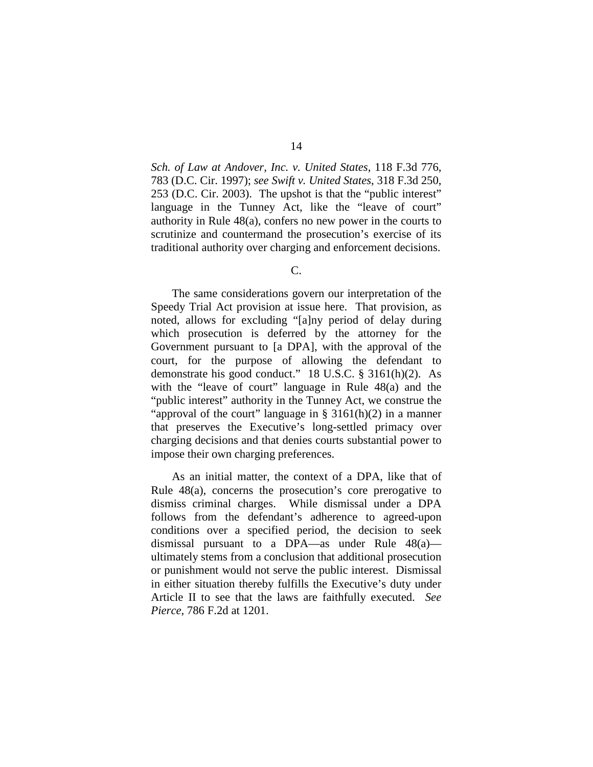*Sch. of Law at Andover, Inc. v. United States*, 118 F.3d 776, 783 (D.C. Cir. 1997); *see Swift v. United States*, 318 F.3d 250, 253 (D.C. Cir. 2003). The upshot is that the "public interest" language in the Tunney Act, like the "leave of court" authority in Rule 48(a), confers no new power in the courts to scrutinize and countermand the prosecution's exercise of its traditional authority over charging and enforcement decisions.

C.

The same considerations govern our interpretation of the Speedy Trial Act provision at issue here. That provision, as noted, allows for excluding "[a]ny period of delay during which prosecution is deferred by the attorney for the Government pursuant to [a DPA], with the approval of the court, for the purpose of allowing the defendant to demonstrate his good conduct." 18 U.S.C. § 3161(h)(2). As with the "leave of court" language in Rule 48(a) and the "public interest" authority in the Tunney Act, we construe the "approval of the court" language in  $\S$  3161(h)(2) in a manner that preserves the Executive's long-settled primacy over charging decisions and that denies courts substantial power to impose their own charging preferences.

As an initial matter, the context of a DPA, like that of Rule 48(a), concerns the prosecution's core prerogative to dismiss criminal charges. While dismissal under a DPA follows from the defendant's adherence to agreed-upon conditions over a specified period, the decision to seek dismissal pursuant to a DPA—as under Rule 48(a) ultimately stems from a conclusion that additional prosecution or punishment would not serve the public interest. Dismissal in either situation thereby fulfills the Executive's duty under Article II to see that the laws are faithfully executed. *See Pierce*, 786 F.2d at 1201.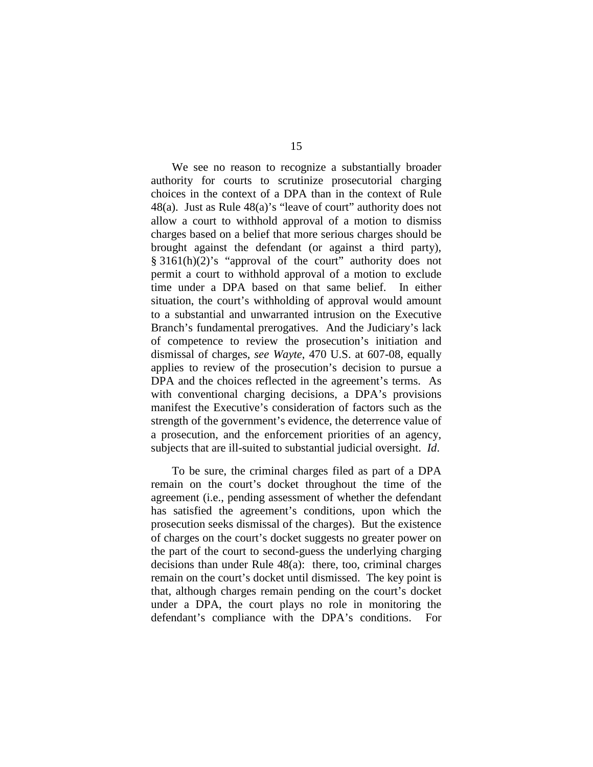We see no reason to recognize a substantially broader authority for courts to scrutinize prosecutorial charging choices in the context of a DPA than in the context of Rule 48(a). Just as Rule 48(a)'s "leave of court" authority does not allow a court to withhold approval of a motion to dismiss charges based on a belief that more serious charges should be brought against the defendant (or against a third party), § 3161(h)(2)'s "approval of the court" authority does not permit a court to withhold approval of a motion to exclude time under a DPA based on that same belief. In either situation, the court's withholding of approval would amount to a substantial and unwarranted intrusion on the Executive Branch's fundamental prerogatives. And the Judiciary's lack of competence to review the prosecution's initiation and dismissal of charges, *see Wayte*, 470 U.S. at 607-08, equally applies to review of the prosecution's decision to pursue a DPA and the choices reflected in the agreement's terms. As with conventional charging decisions, a DPA's provisions manifest the Executive's consideration of factors such as the strength of the government's evidence, the deterrence value of a prosecution, and the enforcement priorities of an agency, subjects that are ill-suited to substantial judicial oversight. *Id*.

To be sure, the criminal charges filed as part of a DPA remain on the court's docket throughout the time of the agreement (i.e., pending assessment of whether the defendant has satisfied the agreement's conditions, upon which the prosecution seeks dismissal of the charges). But the existence of charges on the court's docket suggests no greater power on the part of the court to second-guess the underlying charging decisions than under Rule 48(a): there, too, criminal charges remain on the court's docket until dismissed. The key point is that, although charges remain pending on the court's docket under a DPA, the court plays no role in monitoring the defendant's compliance with the DPA's conditions. For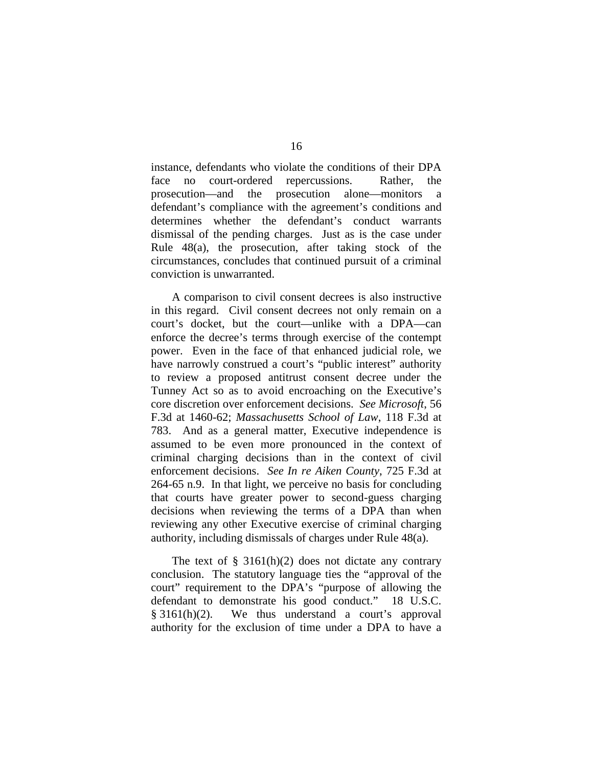instance, defendants who violate the conditions of their DPA face no court-ordered repercussions. Rather, the prosecution—and the prosecution alone—monitors a defendant's compliance with the agreement's conditions and determines whether the defendant's conduct warrants dismissal of the pending charges. Just as is the case under Rule 48(a), the prosecution, after taking stock of the circumstances, concludes that continued pursuit of a criminal conviction is unwarranted.

A comparison to civil consent decrees is also instructive in this regard. Civil consent decrees not only remain on a court's docket, but the court—unlike with a DPA—can enforce the decree's terms through exercise of the contempt power. Even in the face of that enhanced judicial role, we have narrowly construed a court's "public interest" authority to review a proposed antitrust consent decree under the Tunney Act so as to avoid encroaching on the Executive's core discretion over enforcement decisions. *See Microsoft*, 56 F.3d at 1460-62; *Massachusetts School of Law*, 118 F.3d at 783. And as a general matter, Executive independence is assumed to be even more pronounced in the context of criminal charging decisions than in the context of civil enforcement decisions. *See In re Aiken County*, 725 F.3d at 264-65 n.9. In that light, we perceive no basis for concluding that courts have greater power to second-guess charging decisions when reviewing the terms of a DPA than when reviewing any other Executive exercise of criminal charging authority, including dismissals of charges under Rule 48(a).

The text of  $\S$  3161(h)(2) does not dictate any contrary conclusion. The statutory language ties the "approval of the court" requirement to the DPA's "purpose of allowing the defendant to demonstrate his good conduct." 18 U.S.C. § 3161(h)(2). We thus understand a court's approval authority for the exclusion of time under a DPA to have a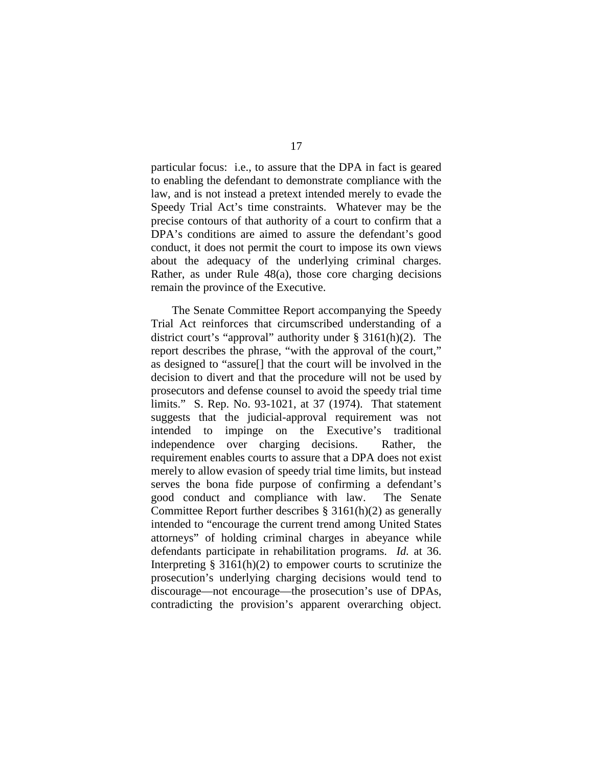particular focus: i.e., to assure that the DPA in fact is geared to enabling the defendant to demonstrate compliance with the law, and is not instead a pretext intended merely to evade the Speedy Trial Act's time constraints. Whatever may be the precise contours of that authority of a court to confirm that a DPA's conditions are aimed to assure the defendant's good conduct, it does not permit the court to impose its own views about the adequacy of the underlying criminal charges. Rather, as under Rule 48(a), those core charging decisions remain the province of the Executive.

The Senate Committee Report accompanying the Speedy Trial Act reinforces that circumscribed understanding of a district court's "approval" authority under § 3161(h)(2). The report describes the phrase, "with the approval of the court," as designed to "assure[] that the court will be involved in the decision to divert and that the procedure will not be used by prosecutors and defense counsel to avoid the speedy trial time limits." S. Rep. No. 93-1021, at 37 (1974). That statement suggests that the judicial-approval requirement was not intended to impinge on the Executive's traditional independence over charging decisions. Rather, the requirement enables courts to assure that a DPA does not exist merely to allow evasion of speedy trial time limits, but instead serves the bona fide purpose of confirming a defendant's good conduct and compliance with law. The Senate Committee Report further describes  $\S 3161(h)(2)$  as generally intended to "encourage the current trend among United States attorneys" of holding criminal charges in abeyance while defendants participate in rehabilitation programs. *Id.* at 36. Interpreting  $\S$  3161(h)(2) to empower courts to scrutinize the prosecution's underlying charging decisions would tend to discourage—not encourage—the prosecution's use of DPAs, contradicting the provision's apparent overarching object.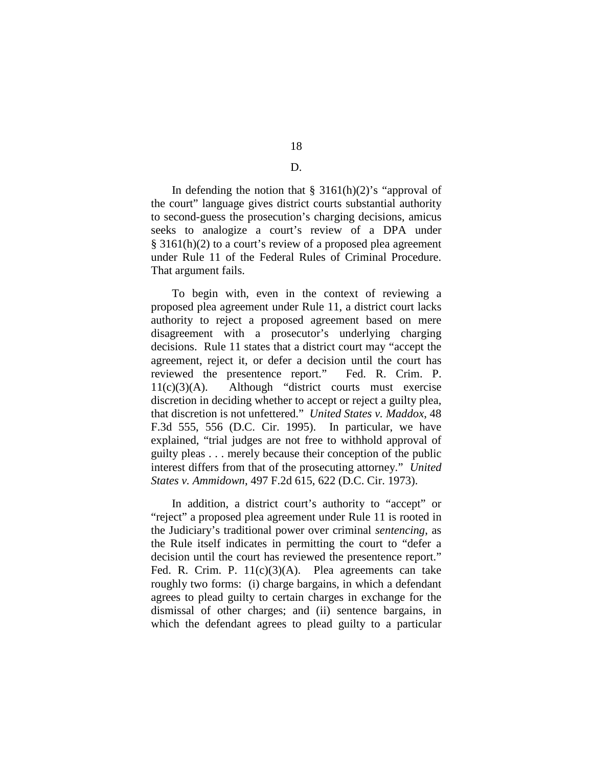D.

In defending the notion that  $\S$  3161(h)(2)'s "approval of the court" language gives district courts substantial authority to second-guess the prosecution's charging decisions, amicus seeks to analogize a court's review of a DPA under § 3161(h)(2) to a court's review of a proposed plea agreement under Rule 11 of the Federal Rules of Criminal Procedure. That argument fails.

To begin with, even in the context of reviewing a proposed plea agreement under Rule 11, a district court lacks authority to reject a proposed agreement based on mere disagreement with a prosecutor's underlying charging decisions. Rule 11 states that a district court may "accept the agreement, reject it, or defer a decision until the court has reviewed the presentence report." Fed. R. Crim. P. 11(c)(3)(A). Although "district courts must exercise discretion in deciding whether to accept or reject a guilty plea, that discretion is not unfettered." *United States v. Maddox*, 48 F.3d 555, 556 (D.C. Cir. 1995). In particular, we have explained, "trial judges are not free to withhold approval of guilty pleas . . . merely because their conception of the public interest differs from that of the prosecuting attorney." *United States v. Ammidown*, 497 F.2d 615, 622 (D.C. Cir. 1973).

In addition, a district court's authority to "accept" or "reject" a proposed plea agreement under Rule 11 is rooted in the Judiciary's traditional power over criminal *sentencing*, as the Rule itself indicates in permitting the court to "defer a decision until the court has reviewed the presentence report." Fed. R. Crim. P. 11(c)(3)(A). Plea agreements can take roughly two forms: (i) charge bargains, in which a defendant agrees to plead guilty to certain charges in exchange for the dismissal of other charges; and (ii) sentence bargains, in which the defendant agrees to plead guilty to a particular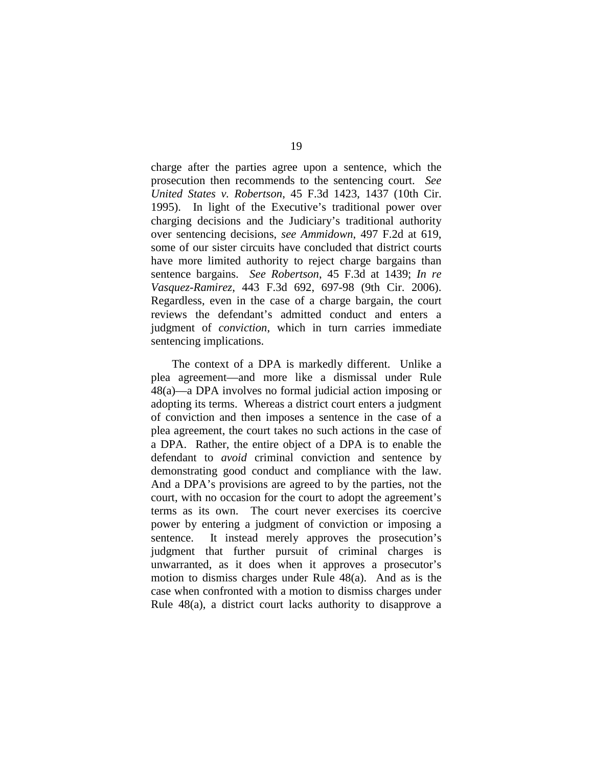charge after the parties agree upon a sentence, which the prosecution then recommends to the sentencing court. *See United States v. Robertson*, 45 F.3d 1423, 1437 (10th Cir. 1995). In light of the Executive's traditional power over charging decisions and the Judiciary's traditional authority over sentencing decisions, *see Ammidown*, 497 F.2d at 619, some of our sister circuits have concluded that district courts have more limited authority to reject charge bargains than sentence bargains. *See Robertson*, 45 F.3d at 1439; *In re Vasquez-Ramirez*, 443 F.3d 692, 697-98 (9th Cir. 2006). Regardless, even in the case of a charge bargain, the court reviews the defendant's admitted conduct and enters a judgment of *conviction*, which in turn carries immediate sentencing implications.

The context of a DPA is markedly different. Unlike a plea agreement—and more like a dismissal under Rule 48(a)—a DPA involves no formal judicial action imposing or adopting its terms. Whereas a district court enters a judgment of conviction and then imposes a sentence in the case of a plea agreement, the court takes no such actions in the case of a DPA. Rather, the entire object of a DPA is to enable the defendant to *avoid* criminal conviction and sentence by demonstrating good conduct and compliance with the law. And a DPA's provisions are agreed to by the parties, not the court, with no occasion for the court to adopt the agreement's terms as its own. The court never exercises its coercive power by entering a judgment of conviction or imposing a sentence. It instead merely approves the prosecution's judgment that further pursuit of criminal charges is unwarranted, as it does when it approves a prosecutor's motion to dismiss charges under Rule 48(a). And as is the case when confronted with a motion to dismiss charges under Rule 48(a), a district court lacks authority to disapprove a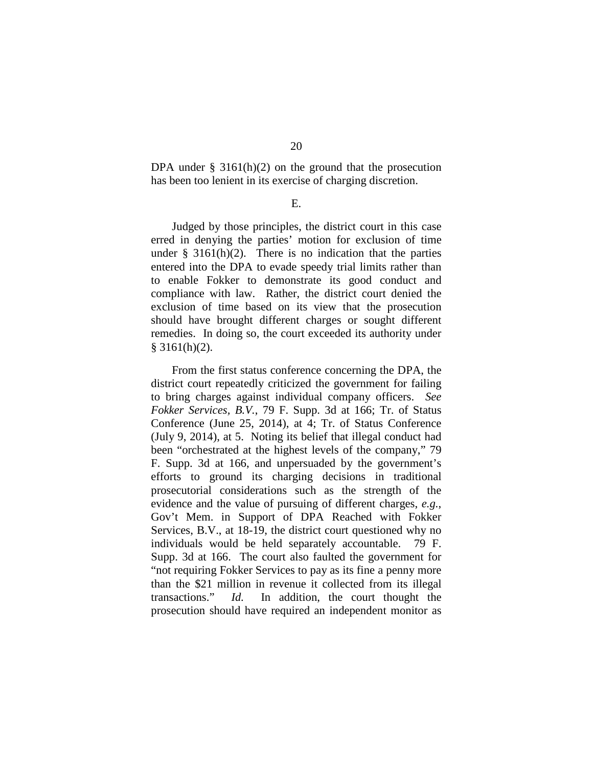DPA under  $\S$  3161(h)(2) on the ground that the prosecution has been too lenient in its exercise of charging discretion.

E.

Judged by those principles, the district court in this case erred in denying the parties' motion for exclusion of time under  $\S$  3161(h)(2). There is no indication that the parties entered into the DPA to evade speedy trial limits rather than to enable Fokker to demonstrate its good conduct and compliance with law. Rather, the district court denied the exclusion of time based on its view that the prosecution should have brought different charges or sought different remedies. In doing so, the court exceeded its authority under  $§$  3161(h)(2).

From the first status conference concerning the DPA, the district court repeatedly criticized the government for failing to bring charges against individual company officers. *See Fokker Services, B.V.*, 79 F. Supp. 3d at 166; Tr. of Status Conference (June 25, 2014), at 4; Tr. of Status Conference (July 9, 2014), at 5. Noting its belief that illegal conduct had been "orchestrated at the highest levels of the company," 79 F. Supp. 3d at 166, and unpersuaded by the government's efforts to ground its charging decisions in traditional prosecutorial considerations such as the strength of the evidence and the value of pursuing of different charges, *e.g.*, Gov't Mem. in Support of DPA Reached with Fokker Services, B.V., at 18-19, the district court questioned why no individuals would be held separately accountable. 79 F. Supp. 3d at 166. The court also faulted the government for "not requiring Fokker Services to pay as its fine a penny more than the \$21 million in revenue it collected from its illegal transactions." *Id.* In addition, the court thought the prosecution should have required an independent monitor as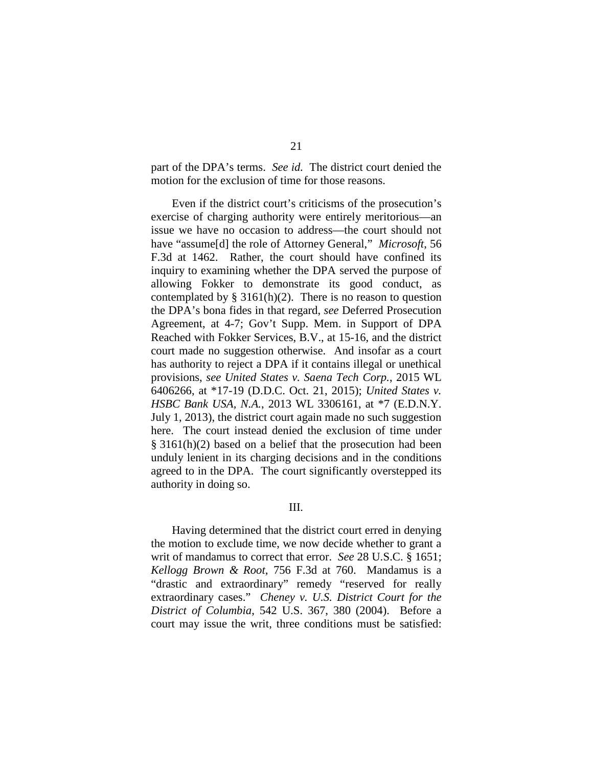part of the DPA's terms. *See id.* The district court denied the motion for the exclusion of time for those reasons.

Even if the district court's criticisms of the prosecution's exercise of charging authority were entirely meritorious—an issue we have no occasion to address—the court should not have "assume[d] the role of Attorney General," *Microsoft*, 56 F.3d at 1462. Rather, the court should have confined its inquiry to examining whether the DPA served the purpose of allowing Fokker to demonstrate its good conduct, as contemplated by § 3161(h)(2). There is no reason to question the DPA's bona fides in that regard, *see* Deferred Prosecution Agreement, at 4-7; Gov't Supp. Mem. in Support of DPA Reached with Fokker Services, B.V., at 15-16, and the district court made no suggestion otherwise. And insofar as a court has authority to reject a DPA if it contains illegal or unethical provisions, *see United States v. Saena Tech Corp.*, 2015 WL 6406266, at \*17-19 (D.D.C. Oct. 21, 2015); *United States v. HSBC Bank USA, N.A.*, 2013 WL 3306161, at \*7 (E.D.N.Y. July 1, 2013), the district court again made no such suggestion here. The court instead denied the exclusion of time under § 3161(h)(2) based on a belief that the prosecution had been unduly lenient in its charging decisions and in the conditions agreed to in the DPA. The court significantly overstepped its authority in doing so.

# III.

Having determined that the district court erred in denying the motion to exclude time, we now decide whether to grant a writ of mandamus to correct that error. *See* 28 U.S.C. § 1651; *Kellogg Brown & Root*, 756 F.3d at 760. Mandamus is a "drastic and extraordinary" remedy "reserved for really extraordinary cases." *Cheney v. U.S. District Court for the District of Columbia*, 542 U.S. 367, 380 (2004). Before a court may issue the writ, three conditions must be satisfied: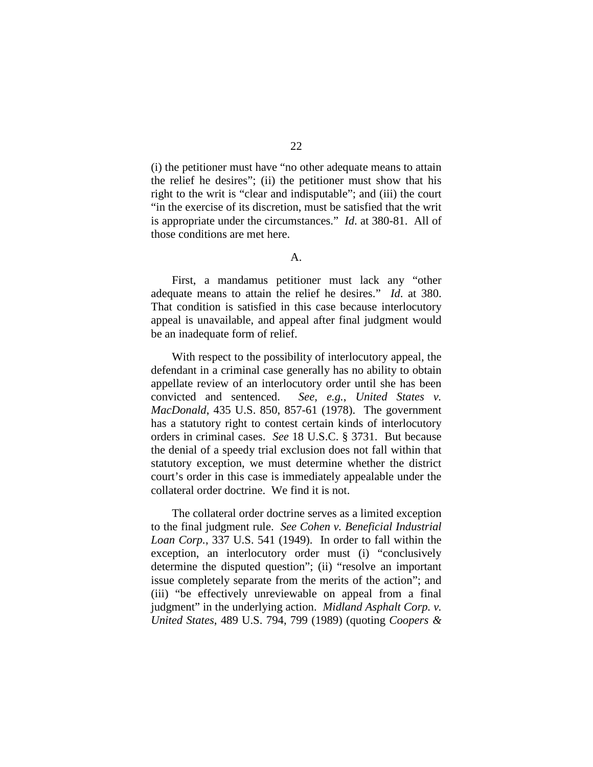(i) the petitioner must have "no other adequate means to attain the relief he desires"; (ii) the petitioner must show that his right to the writ is "clear and indisputable"; and (iii) the court "in the exercise of its discretion, must be satisfied that the writ is appropriate under the circumstances." *Id*. at 380-81. All of

A.

those conditions are met here.

First, a mandamus petitioner must lack any "other adequate means to attain the relief he desires." *Id*. at 380. That condition is satisfied in this case because interlocutory appeal is unavailable, and appeal after final judgment would be an inadequate form of relief.

With respect to the possibility of interlocutory appeal, the defendant in a criminal case generally has no ability to obtain appellate review of an interlocutory order until she has been convicted and sentenced. *See, e.g.*, *United States v. MacDonald*, 435 U.S. 850, 857-61 (1978). The government has a statutory right to contest certain kinds of interlocutory orders in criminal cases. *See* 18 U.S.C. § 3731. But because the denial of a speedy trial exclusion does not fall within that statutory exception, we must determine whether the district court's order in this case is immediately appealable under the collateral order doctrine. We find it is not.

The collateral order doctrine serves as a limited exception to the final judgment rule. *See Cohen v. Beneficial Industrial Loan Corp.*, 337 U.S. 541 (1949). In order to fall within the exception, an interlocutory order must (i) "conclusively determine the disputed question"; (ii) "resolve an important issue completely separate from the merits of the action"; and (iii) "be effectively unreviewable on appeal from a final judgment" in the underlying action. *Midland Asphalt Corp. v. United States*, 489 U.S. 794, 799 (1989) (quoting *Coopers &*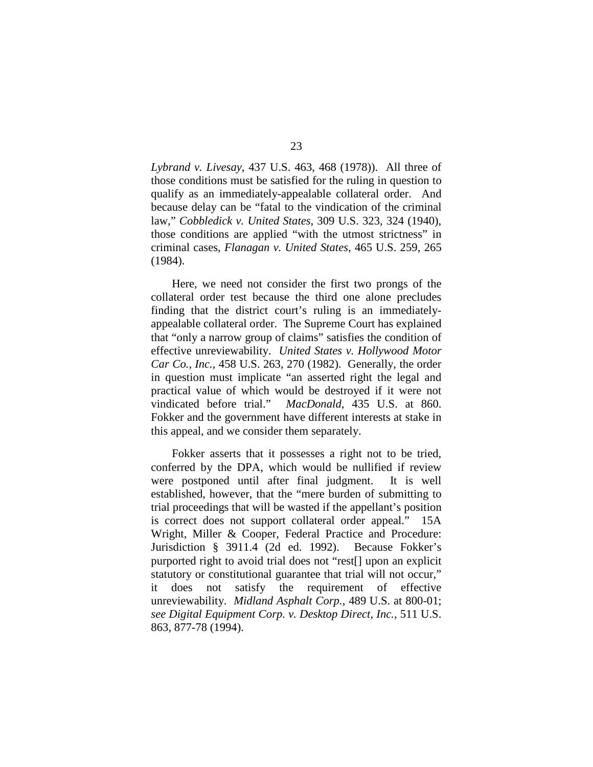*Lybrand v. Livesay*, 437 U.S. 463, 468 (1978)). All three of those conditions must be satisfied for the ruling in question to qualify as an immediately-appealable collateral order. And because delay can be "fatal to the vindication of the criminal law," *Cobbledick v. United States*, 309 U.S. 323, 324 (1940), those conditions are applied "with the utmost strictness" in criminal cases, *Flanagan v. United States*, 465 U.S. 259, 265 (1984).

Here, we need not consider the first two prongs of the collateral order test because the third one alone precludes finding that the district court's ruling is an immediatelyappealable collateral order. The Supreme Court has explained that "only a narrow group of claims" satisfies the condition of effective unreviewability. *United States v. Hollywood Motor Car Co., Inc.*, 458 U.S. 263, 270 (1982). Generally, the order in question must implicate "an asserted right the legal and practical value of which would be destroyed if it were not vindicated before trial." *MacDonald*, 435 U.S. at 860. Fokker and the government have different interests at stake in this appeal, and we consider them separately.

Fokker asserts that it possesses a right not to be tried, conferred by the DPA, which would be nullified if review were postponed until after final judgment. It is well established, however, that the "mere burden of submitting to trial proceedings that will be wasted if the appellant's position is correct does not support collateral order appeal." 15A Wright, Miller & Cooper, Federal Practice and Procedure: Jurisdiction § 3911.4 (2d ed. 1992). Because Fokker's purported right to avoid trial does not "rest[] upon an explicit statutory or constitutional guarantee that trial will not occur," it does not satisfy the requirement of effective unreviewability. *Midland Asphalt Corp.*, 489 U.S. at 800-01; *see Digital Equipment Corp. v. Desktop Direct, Inc.*, 511 U.S. 863, 877-78 (1994).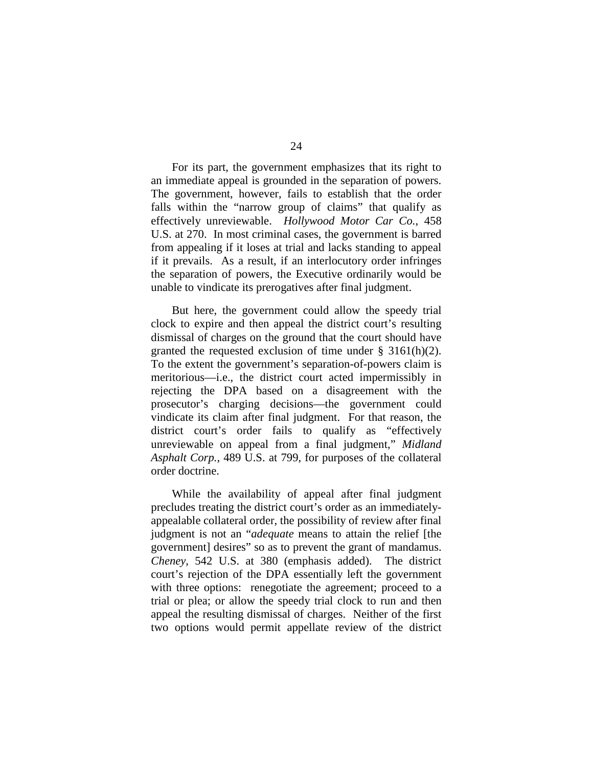For its part, the government emphasizes that its right to an immediate appeal is grounded in the separation of powers. The government, however, fails to establish that the order falls within the "narrow group of claims" that qualify as effectively unreviewable. *Hollywood Motor Car Co.*, 458 U.S. at 270. In most criminal cases, the government is barred from appealing if it loses at trial and lacks standing to appeal if it prevails. As a result, if an interlocutory order infringes the separation of powers, the Executive ordinarily would be unable to vindicate its prerogatives after final judgment.

But here, the government could allow the speedy trial clock to expire and then appeal the district court's resulting dismissal of charges on the ground that the court should have granted the requested exclusion of time under § 3161(h)(2). To the extent the government's separation-of-powers claim is meritorious—i.e., the district court acted impermissibly in rejecting the DPA based on a disagreement with the prosecutor's charging decisions—the government could vindicate its claim after final judgment. For that reason, the district court's order fails to qualify as "effectively unreviewable on appeal from a final judgment," *Midland Asphalt Corp.*, 489 U.S. at 799, for purposes of the collateral order doctrine.

While the availability of appeal after final judgment precludes treating the district court's order as an immediatelyappealable collateral order, the possibility of review after final judgment is not an "*adequate* means to attain the relief [the government] desires" so as to prevent the grant of mandamus. *Cheney*, 542 U.S. at 380 (emphasis added). The district court's rejection of the DPA essentially left the government with three options: renegotiate the agreement; proceed to a trial or plea; or allow the speedy trial clock to run and then appeal the resulting dismissal of charges. Neither of the first two options would permit appellate review of the district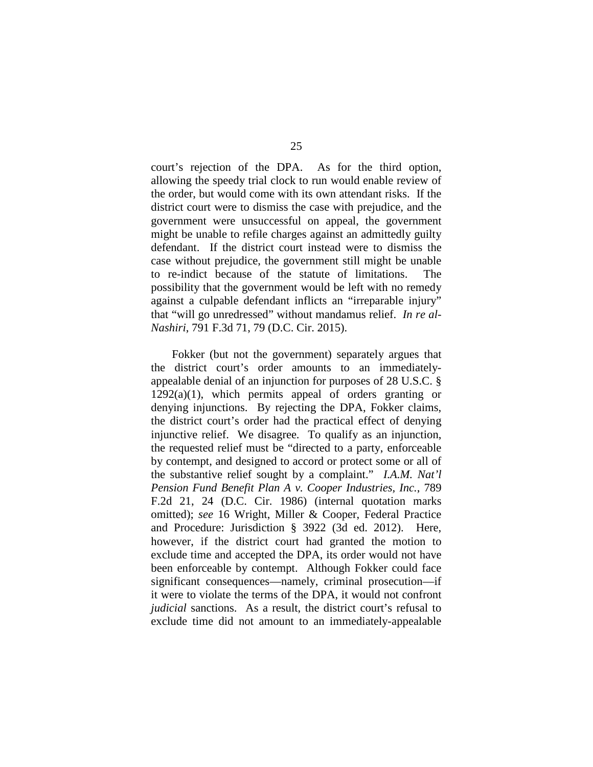court's rejection of the DPA. As for the third option, allowing the speedy trial clock to run would enable review of the order, but would come with its own attendant risks. If the district court were to dismiss the case with prejudice, and the government were unsuccessful on appeal, the government might be unable to refile charges against an admittedly guilty defendant. If the district court instead were to dismiss the case without prejudice, the government still might be unable to re-indict because of the statute of limitations. The possibility that the government would be left with no remedy against a culpable defendant inflicts an "irreparable injury" that "will go unredressed" without mandamus relief. *In re al-Nashiri*, 791 F.3d 71, 79 (D.C. Cir. 2015).

Fokker (but not the government) separately argues that the district court's order amounts to an immediatelyappealable denial of an injunction for purposes of 28 U.S.C. §  $1292(a)(1)$ , which permits appeal of orders granting or denying injunctions. By rejecting the DPA, Fokker claims, the district court's order had the practical effect of denying injunctive relief. We disagree. To qualify as an injunction, the requested relief must be "directed to a party, enforceable by contempt, and designed to accord or protect some or all of the substantive relief sought by a complaint." *I.A.M. Nat'l Pension Fund Benefit Plan A v. Cooper Industries, Inc.*, 789 F.2d 21, 24 (D.C. Cir. 1986) (internal quotation marks omitted); *see* 16 Wright, Miller & Cooper, Federal Practice and Procedure: Jurisdiction § 3922 (3d ed. 2012). Here, however, if the district court had granted the motion to exclude time and accepted the DPA, its order would not have been enforceable by contempt. Although Fokker could face significant consequences—namely, criminal prosecution—if it were to violate the terms of the DPA, it would not confront *judicial* sanctions. As a result, the district court's refusal to exclude time did not amount to an immediately-appealable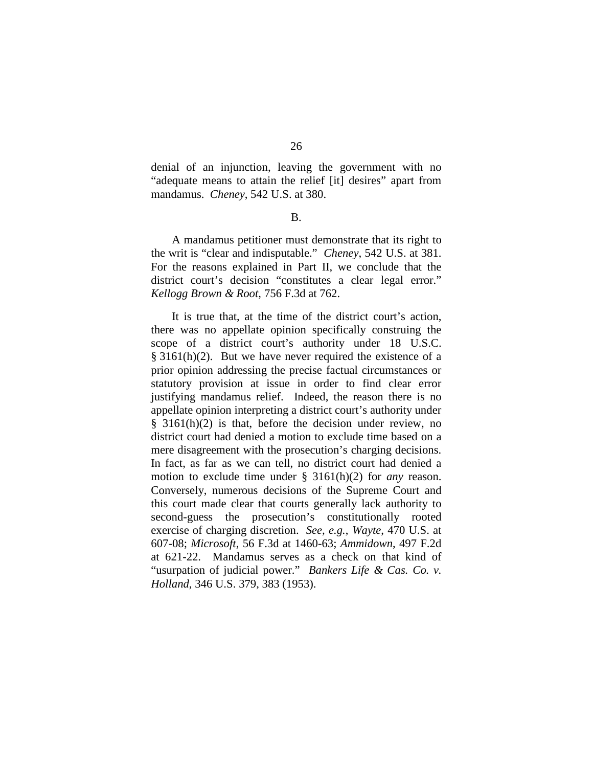denial of an injunction, leaving the government with no "adequate means to attain the relief [it] desires" apart from mandamus. *Cheney*, 542 U.S. at 380.

#### B.

A mandamus petitioner must demonstrate that its right to the writ is "clear and indisputable." *Cheney*, 542 U.S. at 381. For the reasons explained in Part II, we conclude that the district court's decision "constitutes a clear legal error." *Kellogg Brown & Root*, 756 F.3d at 762.

It is true that, at the time of the district court's action, there was no appellate opinion specifically construing the scope of a district court's authority under 18 U.S.C.  $§ 3161(h)(2)$ . But we have never required the existence of a prior opinion addressing the precise factual circumstances or statutory provision at issue in order to find clear error justifying mandamus relief. Indeed, the reason there is no appellate opinion interpreting a district court's authority under § 3161(h)(2) is that, before the decision under review, no district court had denied a motion to exclude time based on a mere disagreement with the prosecution's charging decisions. In fact, as far as we can tell, no district court had denied a motion to exclude time under § 3161(h)(2) for *any* reason. Conversely, numerous decisions of the Supreme Court and this court made clear that courts generally lack authority to second-guess the prosecution's constitutionally rooted exercise of charging discretion. *See, e.g.*, *Wayte*, 470 U.S. at 607-08; *Microsoft*, 56 F.3d at 1460-63; *Ammidown*, 497 F.2d at 621-22. Mandamus serves as a check on that kind of "usurpation of judicial power." *Bankers Life & Cas. Co. v. Holland*, 346 U.S. 379, 383 (1953).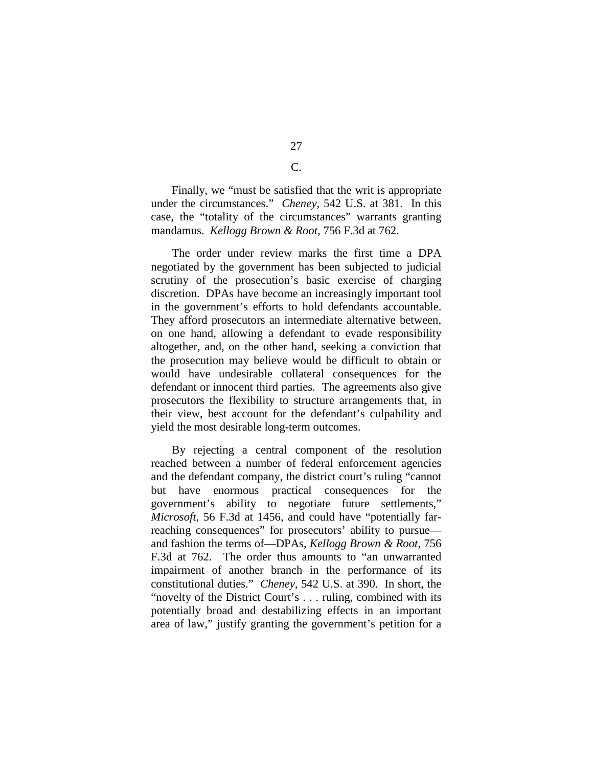Finally, we "must be satisfied that the writ is appropriate under the circumstances." *Cheney*, 542 U.S. at 381. In this case, the "totality of the circumstances" warrants granting mandamus. *Kellogg Brown & Root*, 756 F.3d at 762.

The order under review marks the first time a DPA negotiated by the government has been subjected to judicial scrutiny of the prosecution's basic exercise of charging discretion. DPAs have become an increasingly important tool in the government's efforts to hold defendants accountable. They afford prosecutors an intermediate alternative between, on one hand, allowing a defendant to evade responsibility altogether, and, on the other hand, seeking a conviction that the prosecution may believe would be difficult to obtain or would have undesirable collateral consequences for the defendant or innocent third parties. The agreements also give prosecutors the flexibility to structure arrangements that, in their view, best account for the defendant's culpability and yield the most desirable long-term outcomes.

By rejecting a central component of the resolution reached between a number of federal enforcement agencies and the defendant company, the district court's ruling "cannot but have enormous practical consequences for the government's ability to negotiate future settlements," *Microsoft*, 56 F.3d at 1456, and could have "potentially farreaching consequences" for prosecutors' ability to pursue and fashion the terms of—DPAs, *Kellogg Brown & Root*, 756 F.3d at 762. The order thus amounts to "an unwarranted impairment of another branch in the performance of its constitutional duties." *Cheney*, 542 U.S. at 390. In short, the "novelty of the District Court's . . . ruling, combined with its potentially broad and destabilizing effects in an important area of law," justify granting the government's petition for a

27 C.